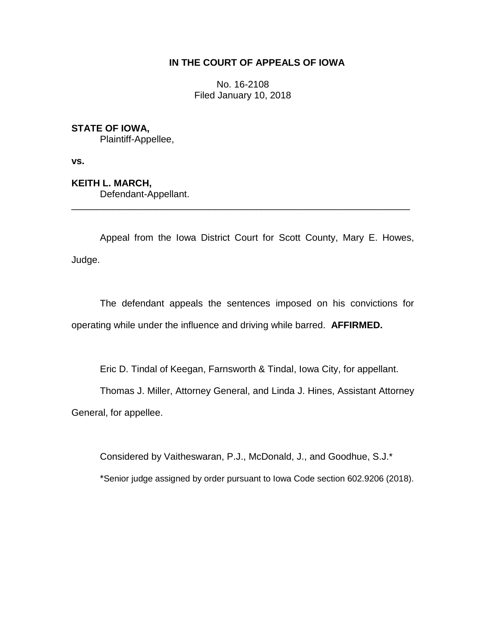# **IN THE COURT OF APPEALS OF IOWA**

No. 16-2108 Filed January 10, 2018

# **STATE OF IOWA,**

Plaintiff-Appellee,

**vs.**

**KEITH L. MARCH,** Defendant-Appellant.

Appeal from the Iowa District Court for Scott County, Mary E. Howes, Judge.

\_\_\_\_\_\_\_\_\_\_\_\_\_\_\_\_\_\_\_\_\_\_\_\_\_\_\_\_\_\_\_\_\_\_\_\_\_\_\_\_\_\_\_\_\_\_\_\_\_\_\_\_\_\_\_\_\_\_\_\_\_\_\_\_

The defendant appeals the sentences imposed on his convictions for operating while under the influence and driving while barred. **AFFIRMED.**

Eric D. Tindal of Keegan, Farnsworth & Tindal, Iowa City, for appellant.

Thomas J. Miller, Attorney General, and Linda J. Hines, Assistant Attorney

General, for appellee.

Considered by Vaitheswaran, P.J., McDonald, J., and Goodhue, S.J.\*

\*Senior judge assigned by order pursuant to Iowa Code section 602.9206 (2018).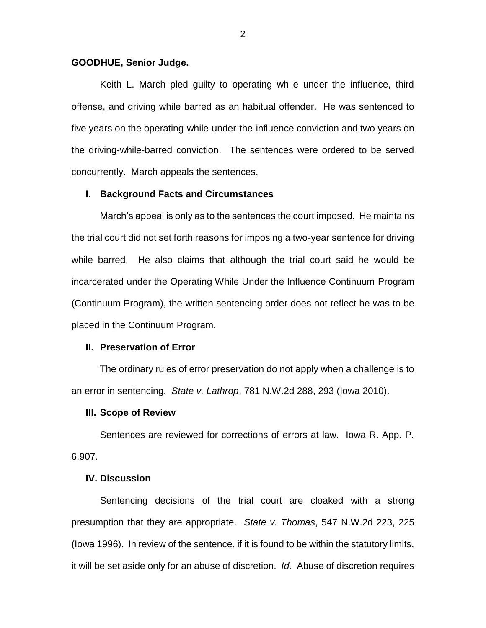## **GOODHUE, Senior Judge.**

Keith L. March pled guilty to operating while under the influence, third offense, and driving while barred as an habitual offender. He was sentenced to five years on the operating-while-under-the-influence conviction and two years on the driving-while-barred conviction. The sentences were ordered to be served concurrently. March appeals the sentences.

### **I. Background Facts and Circumstances**

March's appeal is only as to the sentences the court imposed. He maintains the trial court did not set forth reasons for imposing a two-year sentence for driving while barred. He also claims that although the trial court said he would be incarcerated under the Operating While Under the Influence Continuum Program (Continuum Program), the written sentencing order does not reflect he was to be placed in the Continuum Program.

## **II. Preservation of Error**

The ordinary rules of error preservation do not apply when a challenge is to an error in sentencing. *State v. Lathrop*, 781 N.W.2d 288, 293 (Iowa 2010).

#### **III. Scope of Review**

Sentences are reviewed for corrections of errors at law. Iowa R. App. P. 6.907.

## **IV. Discussion**

Sentencing decisions of the trial court are cloaked with a strong presumption that they are appropriate. *State v. Thomas*, 547 N.W.2d 223, 225 (Iowa 1996). In review of the sentence, if it is found to be within the statutory limits, it will be set aside only for an abuse of discretion. *Id.* Abuse of discretion requires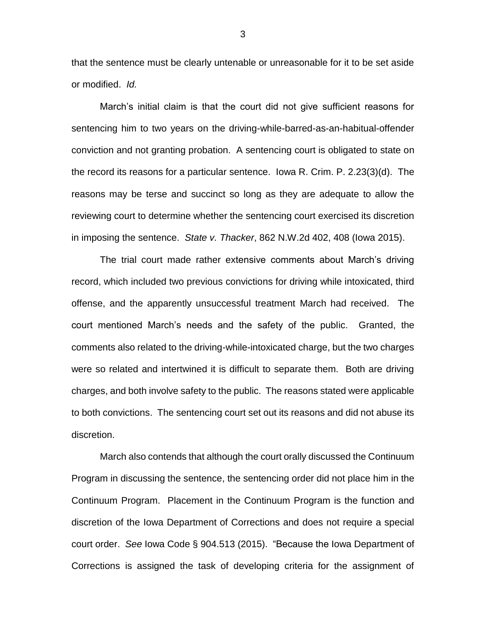that the sentence must be clearly untenable or unreasonable for it to be set aside or modified. *Id.* 

March's initial claim is that the court did not give sufficient reasons for sentencing him to two years on the driving-while-barred-as-an-habitual-offender conviction and not granting probation. A sentencing court is obligated to state on the record its reasons for a particular sentence. Iowa R. Crim. P. 2.23(3)(d). The reasons may be terse and succinct so long as they are adequate to allow the reviewing court to determine whether the sentencing court exercised its discretion in imposing the sentence. *State v. Thacker*, 862 N.W.2d 402, 408 (Iowa 2015).

The trial court made rather extensive comments about March's driving record, which included two previous convictions for driving while intoxicated, third offense, and the apparently unsuccessful treatment March had received. The court mentioned March's needs and the safety of the public. Granted, the comments also related to the driving-while-intoxicated charge, but the two charges were so related and intertwined it is difficult to separate them. Both are driving charges, and both involve safety to the public. The reasons stated were applicable to both convictions. The sentencing court set out its reasons and did not abuse its discretion.

March also contends that although the court orally discussed the Continuum Program in discussing the sentence, the sentencing order did not place him in the Continuum Program. Placement in the Continuum Program is the function and discretion of the Iowa Department of Corrections and does not require a special court order. *See* Iowa Code § 904.513 (2015). "Because the Iowa Department of Corrections is assigned the task of developing criteria for the assignment of

3